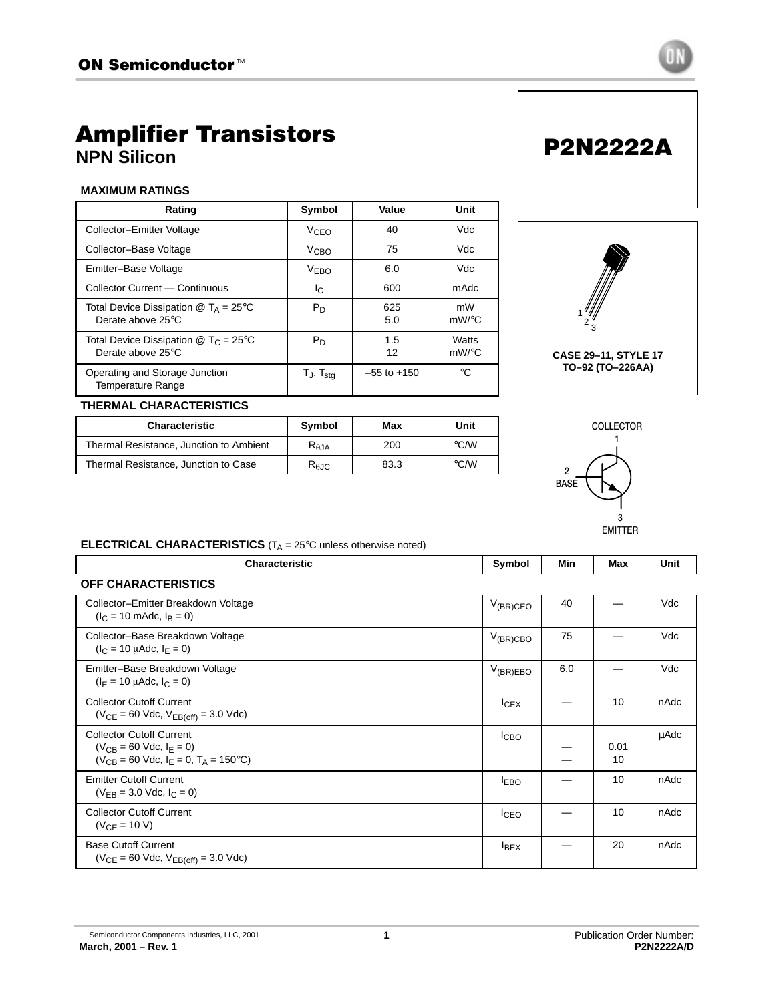

# Amplifier Transistors **NPN Silicon**

### **MAXIMUM RATINGS**

| Rating                                                                                             | Symbol                      | Value           | Unit              |
|----------------------------------------------------------------------------------------------------|-----------------------------|-----------------|-------------------|
| Collector-Emitter Voltage                                                                          | V <sub>CEO</sub>            | 40              | Vdc               |
| Collector-Base Voltage                                                                             | V <sub>CBO</sub>            | 75              | Vdc               |
| Emitter-Base Voltage                                                                               | V <sub>EBO</sub>            | 6.0             | Vdc               |
| Collector Current - Continuous                                                                     | I <sub>C</sub>              | 600             | mAdc              |
| Total Device Dissipation $\textcircled{a}$ T <sub>A</sub> = 25 <sup>o</sup> C<br>Derate above 25°C | $P_D$                       | 625<br>5.0      | mW<br>mW/°C       |
| Total Device Dissipation $\circledR$ T <sub>C</sub> = 25 <sup>°</sup> C<br>Derate above 25°C       | $P_D$                       | 1.5<br>12       | Watts<br>$mW$ /°C |
| Operating and Storage Junction<br>Temperature Range                                                | $T_{\sf J}$ , $T_{\sf stq}$ | $-55$ to $+150$ | °€                |



P2N2222A

### **THERMAL CHARACTERISTICS**

| <b>Characteristic</b>                   | Symbol                 | Max  | Unit               |
|-----------------------------------------|------------------------|------|--------------------|
| Thermal Resistance, Junction to Ambient | $R_{\theta, JA}$       | 200  | °C/W               |
| Thermal Resistance, Junction to Case    | $R_{\theta \text{JC}}$ | 83.3 | $\rm ^{\circ}$ C/W |



### **ELECTRICAL CHARACTERISTICS** (T<sub>A</sub> = 25°C unless otherwise noted)

| <b>Characteristic</b>                                                                                                 | Symbol        | Min | Max        | Unit |
|-----------------------------------------------------------------------------------------------------------------------|---------------|-----|------------|------|
| <b>OFF CHARACTERISTICS</b>                                                                                            |               |     |            |      |
| Collector-Emitter Breakdown Voltage<br>$(I_C = 10 \text{ m}$ Adc, $I_R = 0$ )                                         | $V_{(BR)CEO}$ | 40  |            | Vdc  |
| Collector-Base Breakdown Voltage<br>$(I_C = 10 \mu A dC, I_F = 0)$                                                    | $V_{(BR)CBO}$ | 75  |            | Vdc  |
| Emitter-Base Breakdown Voltage<br>$(I_F = 10 \mu \text{Adc}, I_C = 0)$                                                | $V_{(BR)EBO}$ | 6.0 |            | Vdc  |
| <b>Collector Cutoff Current</b><br>$(V_{CE} = 60$ Vdc, $V_{EB(off)} = 3.0$ Vdc)                                       | $I_{CEX}$     |     | 10         | nAdc |
| <b>Collector Cutoff Current</b><br>$(V_{CR} = 60$ Vdc, $I_F = 0$ )<br>$(V_{CB} = 60$ Vdc, $I_F = 0$ , $T_A = 150$ °C) | <b>ICBO</b>   |     | 0.01<br>10 | μAdc |
| <b>Emitter Cutoff Current</b><br>$(V_{FB} = 3.0$ Vdc, $I_C = 0$ )                                                     | <b>IEBO</b>   |     | 10         | nAdc |
| <b>Collector Cutoff Current</b><br>$(V_{CF} = 10 V)$                                                                  | <b>I</b> CEO  |     | 10         | nAdc |
| <b>Base Cutoff Current</b><br>$(V_{CE} = 60$ Vdc, $V_{EB(off)} = 3.0$ Vdc)                                            | <b>IBEX</b>   |     | 20         | nAdc |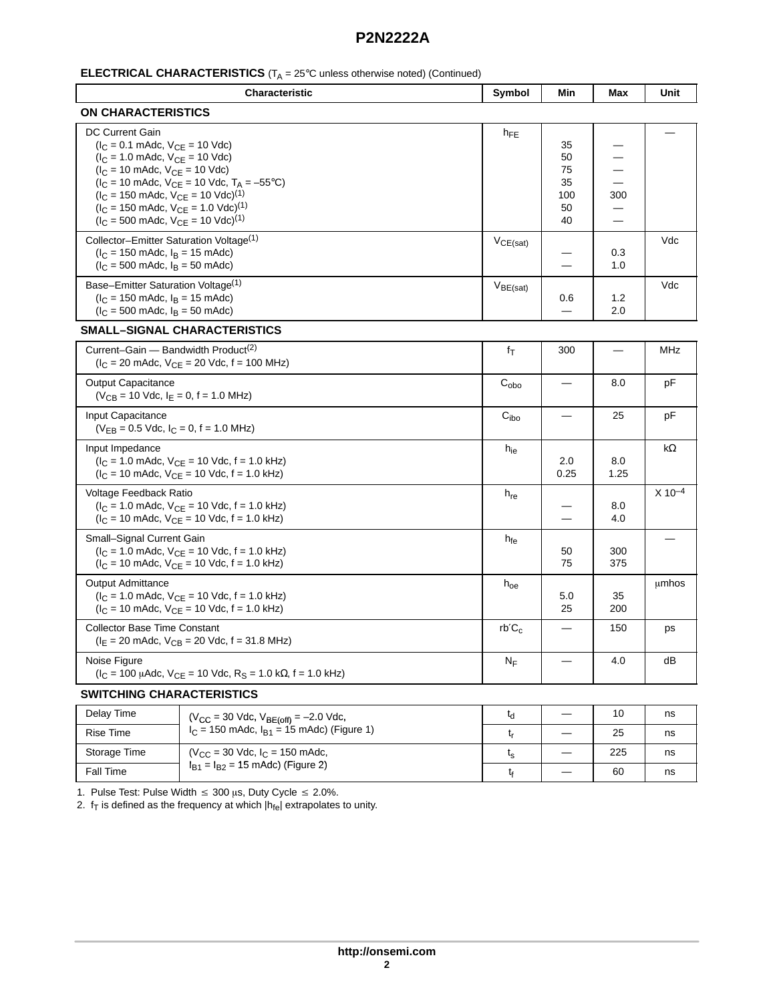| <b>ELECTRICAL CHARACTERISTICS</b> ( $T_A = 25^\circ$ C unless otherwise noted) (Continued) |  |
|--------------------------------------------------------------------------------------------|--|
|--------------------------------------------------------------------------------------------|--|

| Characteristic                                                                                                                                                                                                                                                                                                                                                                                                                                                                                      | Symbol               | Min                                     | Max         | Unit        |
|-----------------------------------------------------------------------------------------------------------------------------------------------------------------------------------------------------------------------------------------------------------------------------------------------------------------------------------------------------------------------------------------------------------------------------------------------------------------------------------------------------|----------------------|-----------------------------------------|-------------|-------------|
| <b>ON CHARACTERISTICS</b>                                                                                                                                                                                                                                                                                                                                                                                                                                                                           |                      |                                         |             |             |
| <b>DC Current Gain</b><br>$(I_C = 0.1$ mAdc, $V_{CE} = 10$ Vdc)<br>$(I_C = 1.0 \text{ m}$ Adc, $V_{CE} = 10 \text{ V}$ dc)<br>$(I_C = 10 \text{ m}$ Adc, $V_{CE} = 10 \text{ V}$ dc)<br>$(I_C = 10 \text{ m}$ Adc, $V_{CE} = 10 \text{ V}$ dc, T <sub>A</sub> = -55°C)<br>$(I_C = 150 \text{ m}$ Adc, $V_{CE} = 10 \text{ V}$ dc) <sup>(1)</sup><br>$(I_C = 150 \text{ m}$ Adc, $V_{CE} = 1.0 \text{ Vdc}$ <sup>(1)</sup><br>$(I_C = 500 \text{ m}$ Adc, $V_{CE} = 10 \text{ V}$ dc) <sup>(1)</sup> | $h_{FE}$             | 35<br>50<br>75<br>35<br>100<br>50<br>40 | 300         |             |
| Collector-Emitter Saturation Voltage <sup>(1)</sup><br>$(l_C = 150 \text{ m}$ Adc, $l_B = 15 \text{ m}$ Adc)<br>$(I_C = 500 \text{ m}$ Adc, $I_B = 50 \text{ m}$ Adc)                                                                                                                                                                                                                                                                                                                               | $V_{CE(sat)}$        |                                         | 0.3<br>1.0  | Vdc         |
| Base-Emitter Saturation Voltage <sup>(1)</sup><br>$(I_C = 150 \text{ m}$ Adc, $I_B = 15 \text{ m}$ Adc)<br>$(l_C = 500 \text{ m}$ Adc, $l_B = 50 \text{ m}$ Adc)                                                                                                                                                                                                                                                                                                                                    | $V_{BE(sat)}$        | 0.6                                     | 1.2<br>2.0  | Vdc         |
| SMALL–SIGNAL CHARACTERISTICS                                                                                                                                                                                                                                                                                                                                                                                                                                                                        |                      |                                         |             |             |
| Current-Gain - Bandwidth Product <sup>(2)</sup><br>$(I_C = 20 \text{ m}$ Adc, $V_{CE} = 20 \text{ V}$ dc, f = 100 MHz)                                                                                                                                                                                                                                                                                                                                                                              | fτ                   | 300                                     |             | MHz         |
| <b>Output Capacitance</b><br>$(V_{CB} = 10$ Vdc, $I_F = 0$ , f = 1.0 MHz)                                                                                                                                                                                                                                                                                                                                                                                                                           | $C_{\alpha b\alpha}$ |                                         | 8.0         | рF          |
| Input Capacitance<br>$(V_{FB} = 0.5$ Vdc, $I_C = 0$ , f = 1.0 MHz)                                                                                                                                                                                                                                                                                                                                                                                                                                  | C <sub>ibo</sub>     |                                         | 25          | pF          |
| Input Impedance<br>$(I_C = 1.0 \text{ m}$ Adc, $V_{CE} = 10 \text{ V}$ dc, f = 1.0 kHz)<br>$I_C = 10$ mAdc, $V_{CF} = 10$ Vdc, f = 1.0 kHz)                                                                                                                                                                                                                                                                                                                                                         | $h_{ie}$             | 2.0<br>0.25                             | 8.0<br>1.25 | $k\Omega$   |
| Voltage Feedback Ratio<br>$(I_C = 1.0 \text{ m}$ Adc, $V_{CF} = 10 \text{ V}$ dc, f = 1.0 kHz)<br>$(I_C = 10 \text{ m}$ Adc, $V_{CE} = 10 \text{ V}$ dc, f = 1.0 kHz)                                                                                                                                                                                                                                                                                                                               | $h_{\text{re}}$      |                                         | 8.0<br>4.0  | $X 10^{-4}$ |
| Small-Signal Current Gain<br>$(I_C = 1.0 \text{ m}$ Adc, $V_{CE} = 10 \text{ V}$ dc, f = 1.0 kHz)<br>$(I_C = 10 \text{ m}$ Adc, $V_{CE} = 10 \text{ Vdc}$ , f = 1.0 kHz)                                                                                                                                                                                                                                                                                                                            | $h_{fe}$             | 50<br>75                                | 300<br>375  |             |
| <b>Output Admittance</b><br>$(I_C = 1.0 \text{ m}$ Adc, $V_{CE} = 10 \text{ V}$ dc, f = 1.0 kHz)<br>$(I_C = 10 \text{ m}$ Adc, $V_{CE} = 10 \text{ Vdc}$ , f = 1.0 kHz)                                                                                                                                                                                                                                                                                                                             | $h_{oe}$             | 5.0<br>25                               | 35<br>200   | umhos       |
| <b>Collector Base Time Constant</b><br>$(IE = 20$ mAdc, $VCB = 20$ Vdc, f = 31.8 MHz)                                                                                                                                                                                                                                                                                                                                                                                                               | $rb'C_c$             |                                         | 150         | ps          |
| Noise Figure<br>$(I_C = 100 \mu A dc, V_{CE} = 10 \text{ Vdc}, R_S = 1.0 \text{ k}\Omega, f = 1.0 \text{ kHz})$                                                                                                                                                                                                                                                                                                                                                                                     | $N_F$                |                                         | 4.0         | dB          |

#### **SWITCHING CHARACTERISTICS**

| Delay Time   | $(V_{CC} = 30$ Vdc, $V_{BE(off)} = -2.0$ Vdc,    | ιd             |     | ns |
|--------------|--------------------------------------------------|----------------|-----|----|
| Rise Time    | $I_C$ = 150 mAdc, $I_{B1}$ = 15 mAdc) (Figure 1) |                | 25  | ns |
| Storage Time | $(V_{CC} = 30$ Vdc, $I_C = 150$ mAdc,            | ւ <sub>Տ</sub> | 225 | ns |
| Fall Time    | $I_{B1} = I_{B2} = 15$ mAdc) (Figure 2)          |                | 60  | ns |

1. Pulse Test: Pulse Width  $\leq 300$  µs, Duty Cycle  $\leq 2.0\%$ .

2.  $f<sub>T</sub>$  is defined as the frequency at which  $|h_{\text{fe}}|$  extrapolates to unity.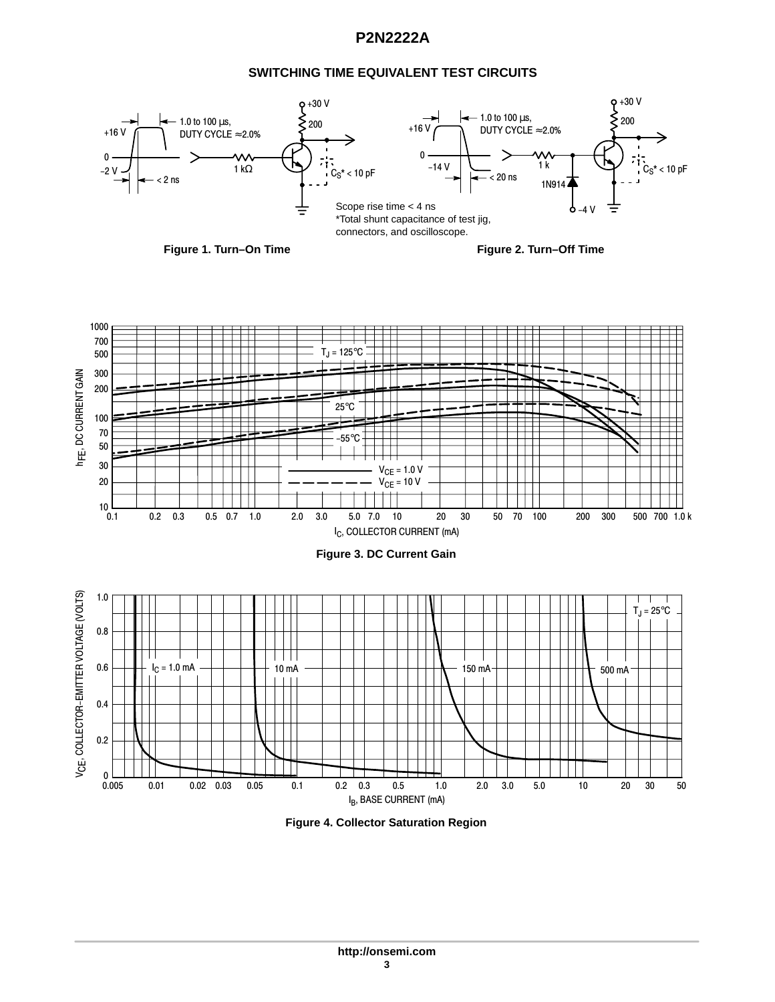## **SWITCHING TIME EQUIVALENT TEST CIRCUITS**



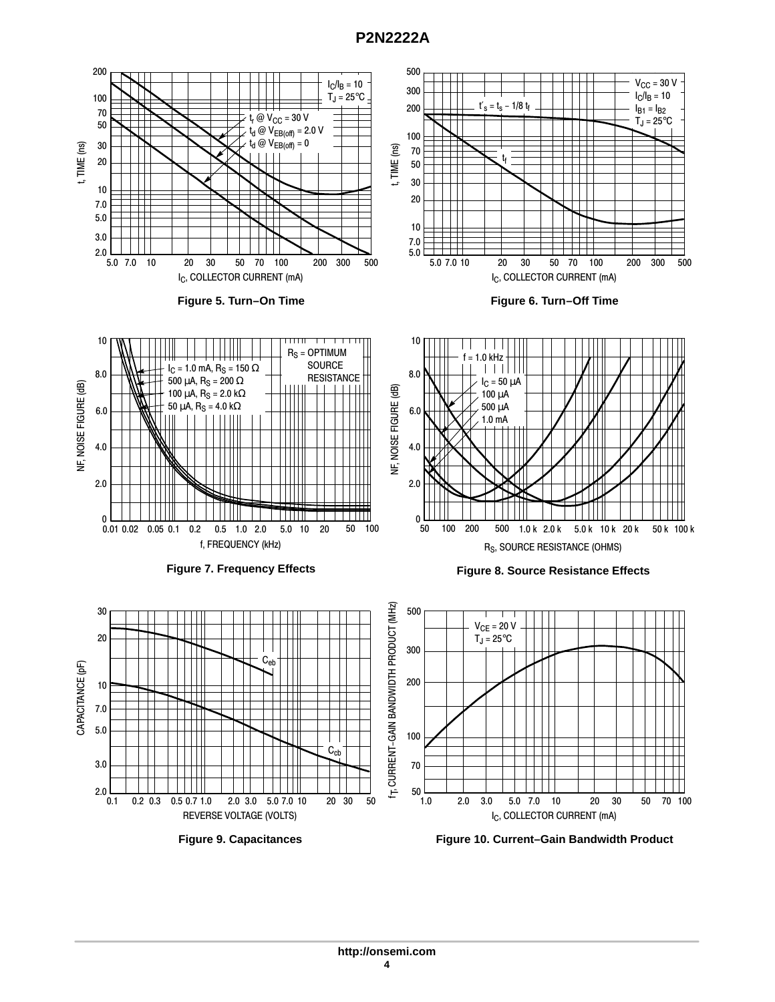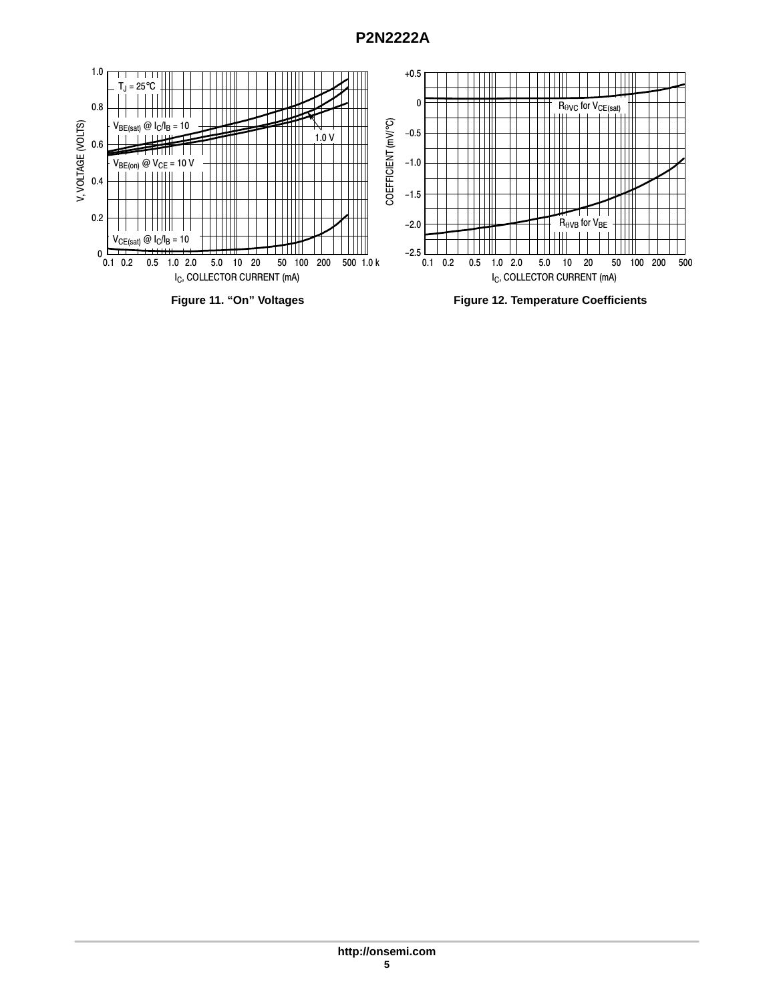

**Figure 11. "On" Voltages**

**Figure 12. Temperature Coefficients**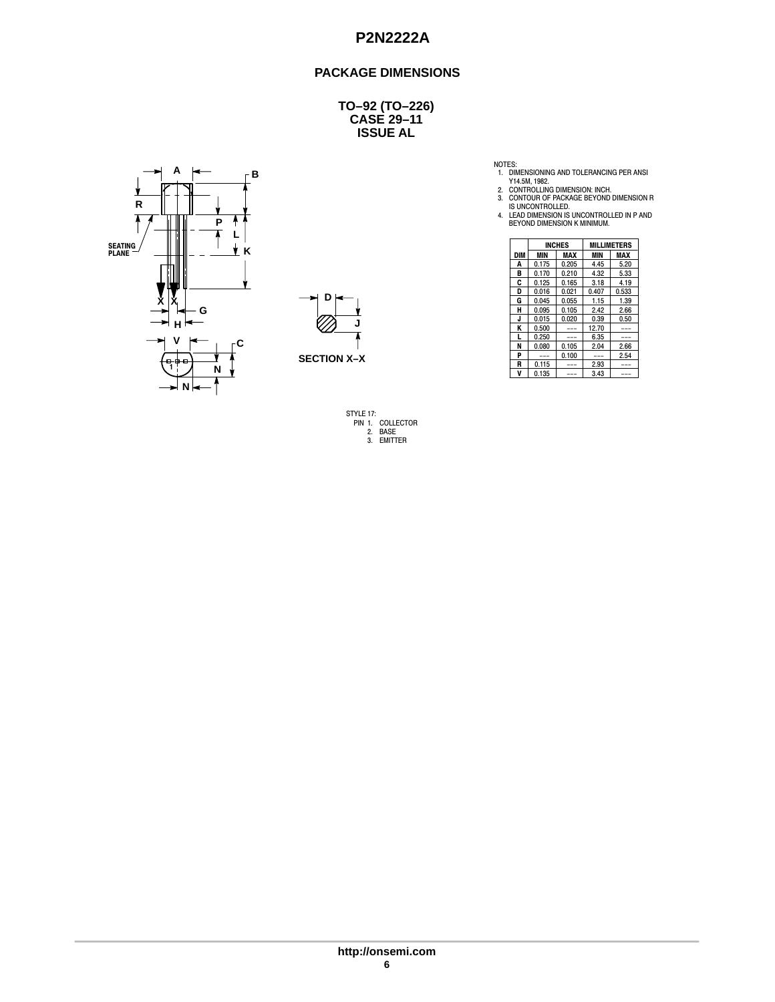### **PACKAGE DIMENSIONS**

**CASE 29–11 ISSUE AL TO–92 (TO–226)**





STYLE 17: PIN 1. COLLECTOR 2. BASE 3. EMITTER

NOTES:<br>
1. DIMENSIONING AND TOLERANCING PER ANSI<br>
Y14.5M, 1982.<br>
2. CONTROLLING DIMENSION: INCH.<br>
3. CONTOUR OF PACKAGE BEYOND DIMENSION R<br>
15 UNCONTROLLED.<br>
4. LEAD DIMENSION IS UNCONTROLLED IN P AND<br>
BEYOND DIMENSION K M

| Ш              |                    |     | <b>INCHES</b> |            | <b>MILLIMETERS</b> |               |
|----------------|--------------------|-----|---------------|------------|--------------------|---------------|
| ĸ              |                    | DIM | MIN           | <b>MAX</b> | <b>MIN</b>         | <b>MAX</b>    |
| 1              |                    | A   | 0.175         | 0.205      | 4.45               | 5.20          |
|                |                    | В   | 0.170         | 0.210      | 4.32               | 5.33          |
|                |                    | C   | 0.125         | 0.165      | 3.18               | 4.19          |
|                |                    | D   | 0.016         | 0.021      | 0.407              | 0.533         |
| v<br>⋏         | D                  | G   | 0.045         | 0.055      | 1.15               | 1.39          |
| G              |                    | н   | 0.095         | 0.105      | 2.42               | 2.66          |
|                |                    | u   | 0.015         | 0.020      | 0.39               | 0.50          |
| н.             |                    | К   | 0.500         | $- - -$    | 12.70              | $\frac{1}{2}$ |
| v              |                    |     | 0.250         | $---$      | 6.35               | $- - -$       |
|                |                    | N   | 0.080         | 0.105      | 2.04               | 2.66          |
|                | <b>SECTION X-X</b> | D   | $\frac{1}{2}$ | 0.100      | $\frac{1}{2}$      | 2.54          |
| - 90- 60-<br>N |                    | B   | 0.115         | $---$      | 2.93               | $- - -$       |
|                |                    | v   | 0.135         | $- - -$    | 3.43               | $- - -$       |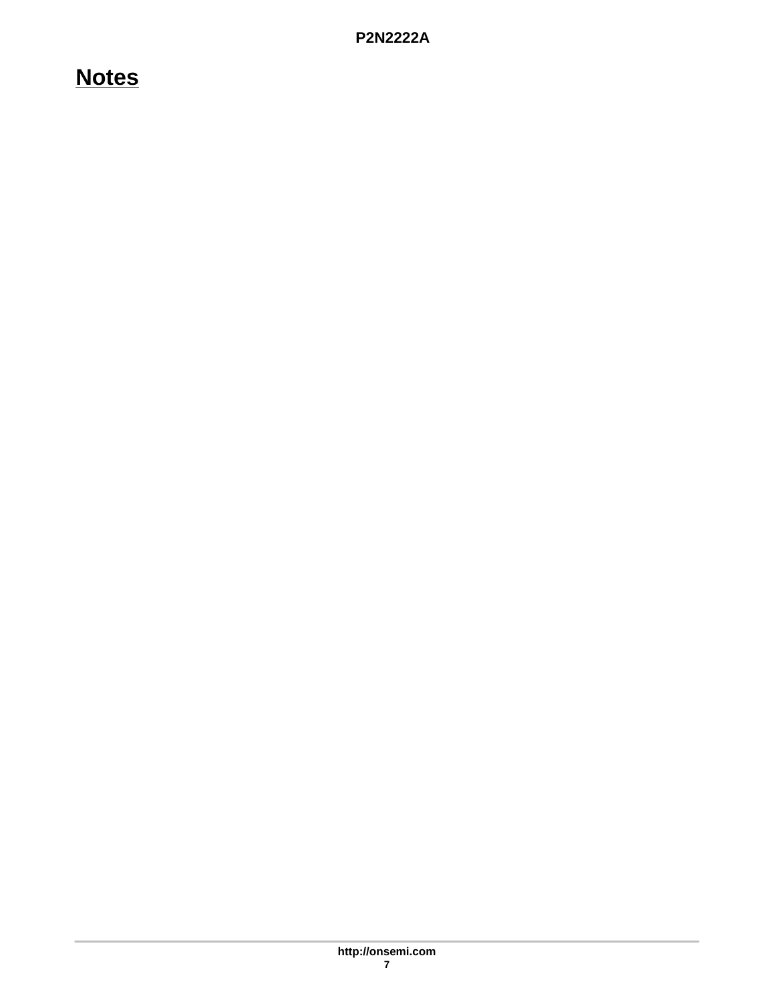# **Notes**